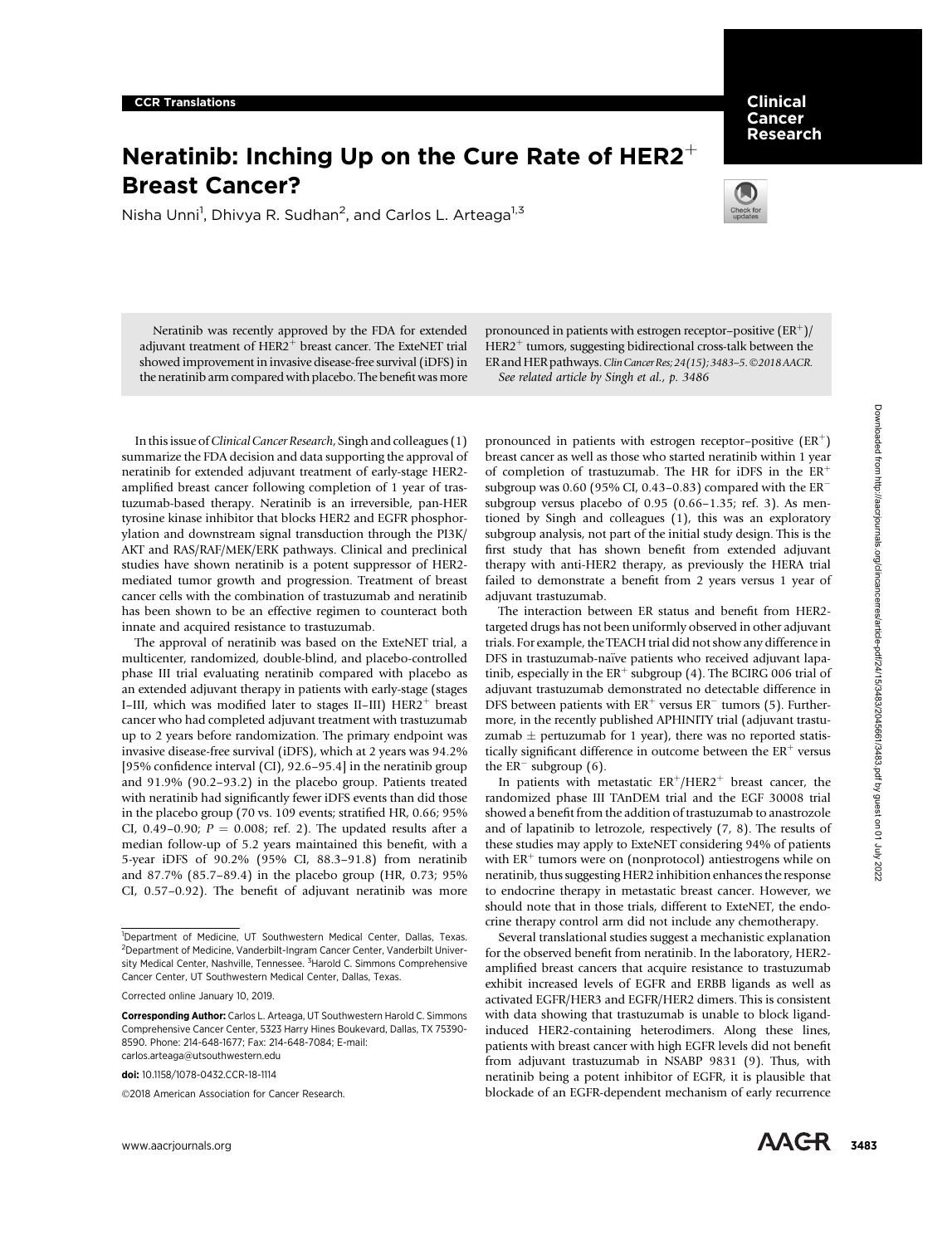# Neratinib: Inching Up on the Cure Rate of HER2<sup>+</sup><br>Breast Cancer?

Nisha Unni<sup>1</sup>, Dhivya R. Sudhan<sup>2</sup>, and Carlos L. Arteaga<sup>1,3</sup>



**Clinical**<br>Cancer Research

Neratinib was recently approved by the FDA for extended adjuvant treatment of  $HER2<sup>+</sup>$  breast cancer. The ExteNET trial showed improvement in invasive disease-free survival (iDFS) in the neratinib arm compared with placebo. The benefit was more

pronounced in patients with estrogen receptor–positive  $(ER^+)$ /  $HER2<sup>+</sup>$  tumors, suggesting bidirectional cross-talk between the ER and HER pathways. Clin Cancer Res; 24(15); 3483-5. ©2018 AACR. See related article by Singh et al., p. 3486

In this issue of *Clinical Cancer Research*, Singh and colleagues (1) summarize the FDA decision and data supporting the approval of neratinib for extended adjuvant treatment of early-stage HER2 amplified breast cancer following completion of 1 year of trastuzumab-based therapy. Neratinib is an irreversible, pan-HER tyrosine kinase inhibitor that blocks HER2 and EGFR phosphorylation and downstream signal transduction through the PI3K/ AKT and RAS/RAF/MEK/ERK pathways. Clinical and preclinical studies have shown neratinib is a potent suppressor of HER2 mediated tumor growth and progression. Treatment of breast cancer cells with the combination of trastuzumab and neratinib has been shown to be an effective regimen to counteract both innate and acquired resistance to trastuzumab.

The approval of neratinib was based on the ExteNET trial, a multicenter, randomized, double-blind, and placebo-controlled phase III trial evaluating neratinib compared with placebo as an extended adjuvant therapy in patients with early-stage (stages I–III, which was modified later to stages II–III)  $HER2<sup>+</sup>$  breast cancer who had completed adjuvant treatment with trastuzumab up to 2 years before randomization. The primary endpoint was invasive disease-free survival (iDFS), which at 2 years was 94.2% [95% confidence interval (CI), 92.6–95.4] in the neratinib group and 91.9% (90.2–93.2) in the placebo group. Patients treated with neratinib had significantly fewer iDFS events than did those in the placebo group (70 vs. 109 events; stratified HR, 0.66; 95% CI, 0.49–0.90;  $P = 0.008$ ; ref. 2). The updated results after a median follow-up of 5.2 years maintained this benefit, with a 5-year iDFS of 90.2% (95% CI, 88.3–91.8) from neratinib and 87.7% (85.7–89.4) in the placebo group (HR, 0.73; 95% CI, 0.57–0.92). The benefit of adjuvant neratinib was more In this base of Clevis Gover Rowers, Singhami collegeos (1) peaconnes in pairing with retrogen regear positive 122 Sources and all observed for the MAS clear the entropy in the MAS clear the entropy in the state of the st

doi: 10.1158/1078-0432.CCR-18-1114

2018 American Association for Cancer Research.

pronounced in patients with estrogen receptor–positive  $(ER^+)$ breast cancer as well as those who started neratinib within 1 year of completion of trastuzumab. The HR for iDFS in the  $ER^+$ subgroup was 0.60 (95% CI, 0.43-0.83) compared with the  $ER^$ subgroup versus placebo of 0.95 (0.66–1.35; ref. 3). As mentioned by Singh and colleagues (1), this was an exploratory subgroup analysis, not part of the initial study design. This is the first study that has shown benefit from extended adjuvant therapy with anti-HER2 therapy, as previously the HERA trial failed to demonstrate a benefit from 2 years versus 1 year of adjuvant trastuzumab.

The interaction between ER status and benefit from HER2 targeted drugs has not been uniformly observed in other adjuvant trials. For example, the TEACH trial did not show any difference in DFS in trastuzumab-naïve patients who received adjuvant lapatinib, especially in the  $ER^+$  subgroup (4). The BCIRG 006 trial of adjuvant trastuzumab demonstrated no detectable difference in DFS between patients with  $ER<sup>+</sup>$  versus  $ER<sup>-</sup>$  tumors (5). Furthermore, in the recently published APHINITY trial (adjuvant trastuzumab  $\pm$  pertuzumab for 1 year), there was no reported statistically significant difference in outcome between the  $ER<sup>+</sup>$  versus the  $ER^-$  subgroup (6).

In patients with metastatic  $ER^{+}/HER2^{+}$  breast cancer, the randomized phase III TAnDEM trial and the EGF 30008 trial showed a benefit from the addition of trastuzumab to anastrozole and of lapatinib to letrozole, respectively (7, 8). The results of these studies may apply to ExteNET considering 94% of patients with  $ER^+$  tumors were on (nonprotocol) antiestrogens while on neratinib, thus suggesting HER2 inhibition enhances the response to endocrine therapy in metastatic breast cancer. However, we should note that in those trials, different to ExteNET, the endocrine therapy control arm did not include any chemotherapy.

Several translational studies suggest a mechanistic explanation for the observed benefit from neratinib. In the laboratory, HER2 amplified breast cancers that acquire resistance to trastuzumab exhibit increased levels of EGFR and ERBB ligands as well as activated EGFR/HER3 and EGFR/HER2 dimers. This is consistent with data showing that trastuzumab is unable to block ligandinduced HER2-containing heterodimers. Along these lines, patients with breast cancer with high EGFR levels did not benefit from adjuvant trastuzumab in NSABP 9831 (9). Thus, with neratinib being a potent inhibitor of EGFR, it is plausible that blockade of an EGFR-dependent mechanism of early recurrence

<sup>&</sup>lt;sup>1</sup>Department of Medicine, UT Southwestern Medical Center, Dallas, Texas. <sup>2</sup>Department of Medicine, Vanderbilt-Ingram Cancer Center, Vanderbilt University Medical Center, Nashville, Tennessee. <sup>3</sup>Harold C. Simmons Comprehensive Cancer Center, UT Southwestern Medical Center, Dallas, Texas.

Corrected online January 10, 2019.

Corresponding Author: Carlos L. Arteaga, UT Southwestern Harold C. Simmons Comprehensive Cancer Center, 5323 Harry Hines Boukevard, Dallas, TX 75390- 8590. Phone: 214-648-1677; Fax: 214-648-7084; E-mail: carlos.arteaga@utsouthwestern.edu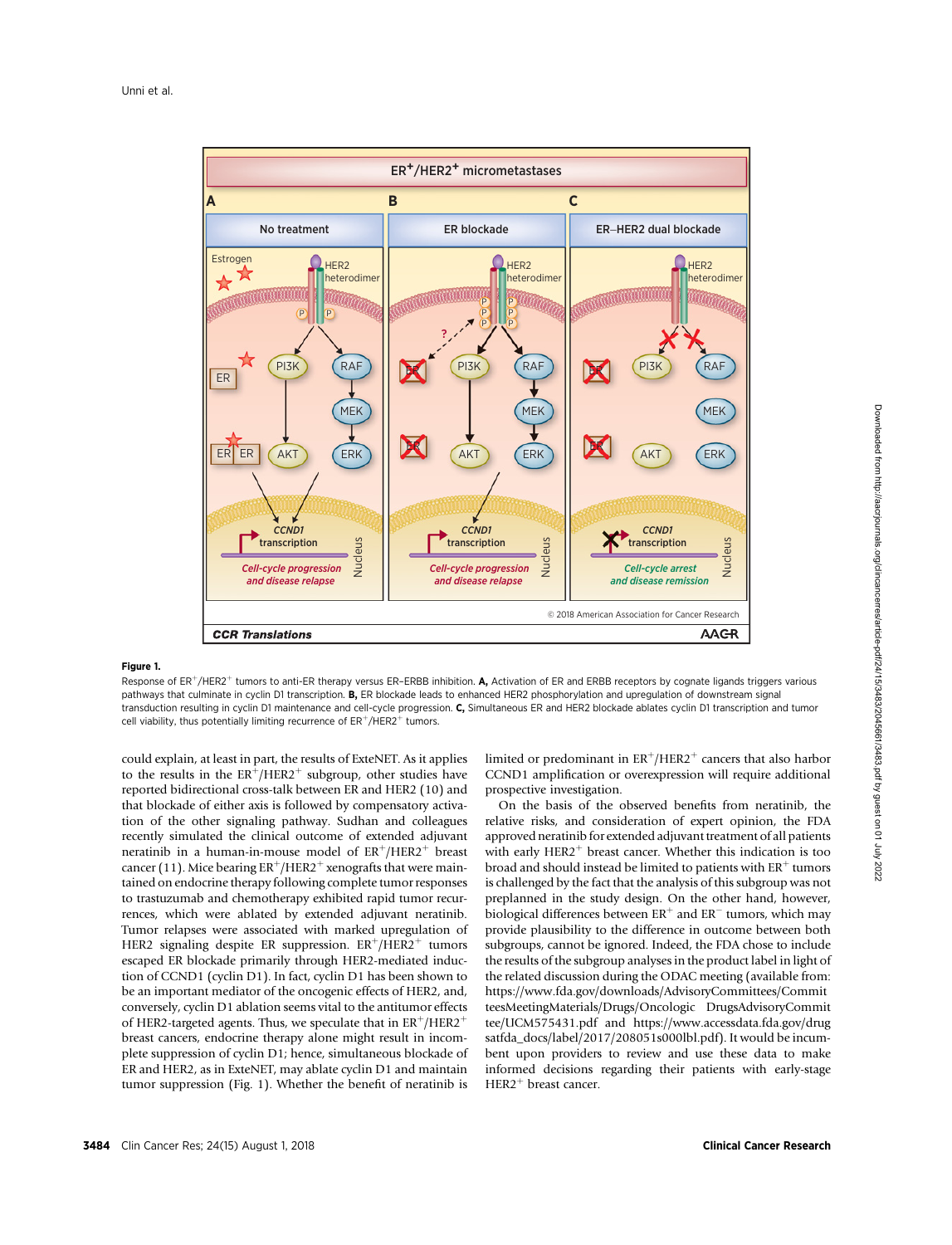

## Figure 1.

Response of ER<sup>+</sup>/HER2<sup>+</sup> tumors to anti-ER therapy versus ER-ERBB inhibition. A, Activation of ER and ERBB receptors by cognate ligands triggers various pathways that culminate in cyclin D1 transcription. B, ER blockade leads to enhanced HER2 phosphorylation and upregulation of downstream signal transduction resulting in cyclin D1 maintenance and cell-cycle progression. C, Simultaneous ER and HER2 blockade ablates cyclin D1 transcription and tumor cell viability, thus potentially limiting recurrence of  $ER<sup>+</sup>/HER2<sup>+</sup>$  tumors.

could explain, at least in part, the results of ExteNET. As it applies to the results in the  $ER^{+}/HER2^{+}$  subgroup, other studies have reported bidirectional cross-talk between ER and HER2 (10) and that blockade of either axis is followed by compensatory activation of the other signaling pathway. Sudhan and colleagues recently simulated the clinical outcome of extended adjuvant neratinib in a human-in-mouse model of  $ER^+/HER2^+$  breast cancer (11). Mice bearing  $ER^+/HER2^+$  xenografts that were maintained on endocrine therapy following complete tumor responses to trastuzumab and chemotherapy exhibited rapid tumor recurrences, which were ablated by extended adjuvant neratinib. Tumor relapses were associated with marked upregulation of HER2 signaling despite ER suppression.  $ER^+/HER2^+$  tumors escaped ER blockade primarily through HER2-mediated induction of CCND1 (cyclin D1). In fact, cyclin D1 has been shown to be an important mediator of the oncogenic effects of HER2, and, conversely, cyclin D1 ablation seems vital to the antitumor effects of HER2-targeted agents. Thus, we speculate that in  $ER^+/HER2^+$ breast cancers, endocrine therapy alone might result in incomplete suppression of cyclin D1; hence, simultaneous blockade of ER and HER2, as in ExteNET, may ablate cyclin D1 and maintain tumor suppression (Fig. 1). Whether the benefit of neratinib is limited or predominant in  $ER^+/HER2^+$  cancers that also harbor CCND1 amplification or overexpression will require additional prospective investigation.

On the basis of the observed benefits from neratinib, the relative risks, and consideration of expert opinion, the FDA approved neratinib for extended adjuvant treatment of all patients with early HER2<sup>+</sup> breast cancer. Whether this indication is too broad and should instead be limited to patients with  $ER^+$  tumors is challenged by the fact that the analysis of this subgroup was not preplanned in the study design. On the other hand, however, biological differences between  $ER^+$  and  $ER^-$  tumors, which may provide plausibility to the difference in outcome between both subgroups, cannot be ignored. Indeed, the FDA chose to include the results of the subgroup analyses in the product label in light of the related discussion during the ODAC meeting (available from: [https://www.fda.gov/downloads/AdvisoryCommittees/Commit](https://www.fda.gov/downloads/AdvisoryCommittees/CommitteesMeetingMaterials/Drugs/Oncologic DrugsAdvisoryCommittee/UCM575431.pdf) [teesMeetingMaterials/Drugs/Oncologic DrugsAdvisoryCommit](https://www.fda.gov/downloads/AdvisoryCommittees/CommitteesMeetingMaterials/Drugs/Oncologic DrugsAdvisoryCommittee/UCM575431.pdf) [tee/UCM575431.pdf](https://www.fda.gov/downloads/AdvisoryCommittees/CommitteesMeetingMaterials/Drugs/Oncologic DrugsAdvisoryCommittee/UCM575431.pdf) and [https://www.accessdata.fda.gov/drug](https://www.accessdata.fda.gov/drugsatfda_docs/label/2017/208051s000lbl.pdf) [satfda\\_docs/label/2017/208051s000lbl.pdf\)](https://www.accessdata.fda.gov/drugsatfda_docs/label/2017/208051s000lbl.pdf). It would be incumbent upon providers to review and use these data to make informed decisions regarding their patients with early-stage  $HER2<sup>+</sup>$  breast cancer.